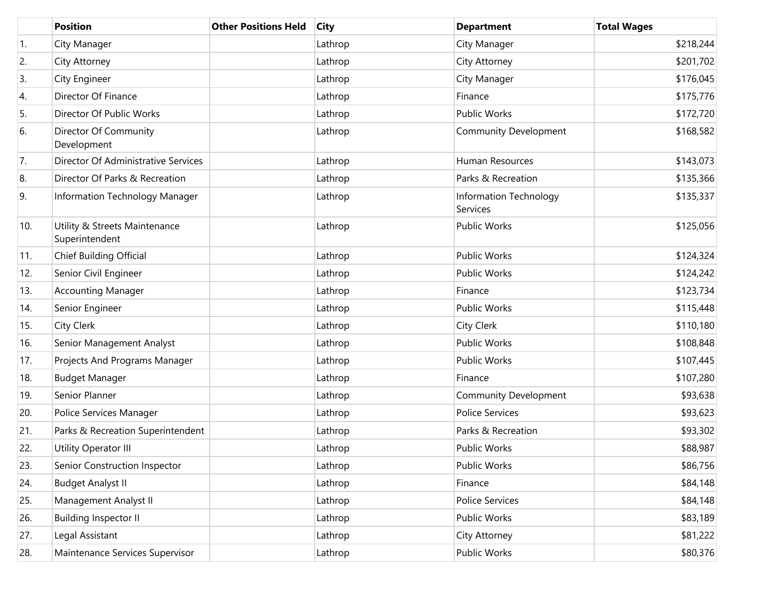|     | <b>Position</b>                                 | <b>Other Positions Held</b> | <b>City</b> | <b>Department</b>                  | <b>Total Wages</b> |
|-----|-------------------------------------------------|-----------------------------|-------------|------------------------------------|--------------------|
| 1.  | City Manager                                    |                             | Lathrop     | City Manager                       | \$218,244          |
| 2.  | City Attorney                                   |                             | Lathrop     | City Attorney                      | \$201,702          |
| 3.  | City Engineer                                   |                             | Lathrop     | City Manager                       | \$176,045          |
| 4.  | Director Of Finance                             |                             | Lathrop     | Finance                            | \$175,776          |
| 5.  | Director Of Public Works                        |                             | Lathrop     | <b>Public Works</b>                | \$172,720          |
| 6.  | Director Of Community<br>Development            |                             | Lathrop     | <b>Community Development</b>       | \$168,582          |
| 7.  | Director Of Administrative Services             |                             | Lathrop     | Human Resources                    | \$143,073          |
| 8.  | Director Of Parks & Recreation                  |                             | Lathrop     | Parks & Recreation                 | \$135,366          |
| 9.  | Information Technology Manager                  |                             | Lathrop     | Information Technology<br>Services | \$135,337          |
| 10. | Utility & Streets Maintenance<br>Superintendent |                             | Lathrop     | <b>Public Works</b>                | \$125,056          |
| 11. | Chief Building Official                         |                             | Lathrop     | <b>Public Works</b>                | \$124,324          |
| 12. | Senior Civil Engineer                           |                             | Lathrop     | <b>Public Works</b>                | \$124,242          |
| 13. | <b>Accounting Manager</b>                       |                             | Lathrop     | Finance                            | \$123,734          |
| 14. | Senior Engineer                                 |                             | Lathrop     | <b>Public Works</b>                | \$115,448          |
| 15. | City Clerk                                      |                             | Lathrop     | <b>City Clerk</b>                  | \$110,180          |
| 16. | Senior Management Analyst                       |                             | Lathrop     | <b>Public Works</b>                | \$108,848          |
| 17. | Projects And Programs Manager                   |                             | Lathrop     | <b>Public Works</b>                | \$107,445          |
| 18. | <b>Budget Manager</b>                           |                             | Lathrop     | Finance                            | \$107,280          |
| 19. | Senior Planner                                  |                             | Lathrop     | <b>Community Development</b>       | \$93,638           |
| 20. | Police Services Manager                         |                             | Lathrop     | <b>Police Services</b>             | \$93,623           |
| 21. | Parks & Recreation Superintendent               |                             | Lathrop     | Parks & Recreation                 | \$93,302           |
| 22. | Utility Operator III                            |                             | Lathrop     | <b>Public Works</b>                | \$88,987           |
| 23. | Senior Construction Inspector                   |                             | Lathrop     | Public Works                       | \$86,756           |
| 24. | <b>Budget Analyst II</b>                        |                             | Lathrop     | Finance                            | \$84,148           |
| 25. | Management Analyst II                           |                             | Lathrop     | Police Services                    | \$84,148           |
| 26. | <b>Building Inspector II</b>                    |                             | Lathrop     | <b>Public Works</b>                | \$83,189           |
| 27. | Legal Assistant                                 |                             | Lathrop     | City Attorney                      | \$81,222           |
| 28. | Maintenance Services Supervisor                 |                             | Lathrop     | Public Works                       | \$80,376           |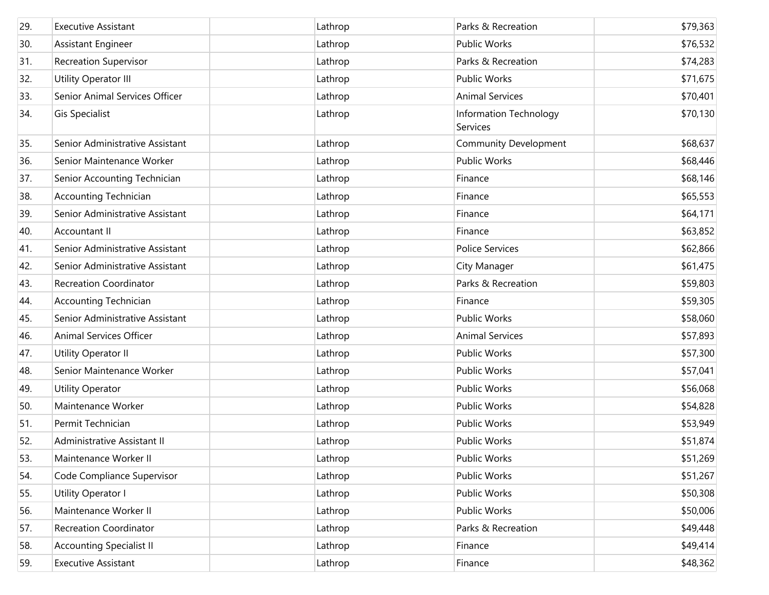| 29. | <b>Executive Assistant</b>      | Lathrop | Parks & Recreation                 | \$79,363 |
|-----|---------------------------------|---------|------------------------------------|----------|
| 30. | Assistant Engineer              | Lathrop | Public Works                       | \$76,532 |
| 31. | <b>Recreation Supervisor</b>    | Lathrop | Parks & Recreation                 | \$74,283 |
| 32. | Utility Operator III            | Lathrop | Public Works                       | \$71,675 |
| 33. | Senior Animal Services Officer  | Lathrop | <b>Animal Services</b>             | \$70,401 |
| 34. | Gis Specialist                  | Lathrop | Information Technology<br>Services | \$70,130 |
| 35. | Senior Administrative Assistant | Lathrop | <b>Community Development</b>       | \$68,637 |
| 36. | Senior Maintenance Worker       | Lathrop | Public Works                       | \$68,446 |
| 37. | Senior Accounting Technician    | Lathrop | Finance                            | \$68,146 |
| 38. | <b>Accounting Technician</b>    | Lathrop | Finance                            | \$65,553 |
| 39. | Senior Administrative Assistant | Lathrop | Finance                            | \$64,171 |
| 40. | Accountant II                   | Lathrop | Finance                            | \$63,852 |
| 41. | Senior Administrative Assistant | Lathrop | Police Services                    | \$62,866 |
| 42. | Senior Administrative Assistant | Lathrop | City Manager                       | \$61,475 |
| 43. | <b>Recreation Coordinator</b>   | Lathrop | Parks & Recreation                 | \$59,803 |
| 44. | <b>Accounting Technician</b>    | Lathrop | Finance                            | \$59,305 |
| 45. | Senior Administrative Assistant | Lathrop | Public Works                       | \$58,060 |
| 46. | Animal Services Officer         | Lathrop | <b>Animal Services</b>             | \$57,893 |
| 47. | Utility Operator II             | Lathrop | Public Works                       | \$57,300 |
| 48. | Senior Maintenance Worker       | Lathrop | Public Works                       | \$57,041 |
| 49. | <b>Utility Operator</b>         | Lathrop | Public Works                       | \$56,068 |
| 50. | Maintenance Worker              | Lathrop | Public Works                       | \$54,828 |
| 51. | Permit Technician               | Lathrop | Public Works                       | \$53,949 |
| 52. | Administrative Assistant II     | Lathrop | Public Works                       | \$51,874 |
| 53. | Maintenance Worker II           | Lathrop | Public Works                       | \$51,269 |
| 54. | Code Compliance Supervisor      | Lathrop | Public Works                       | \$51,267 |
| 55. | Utility Operator I              | Lathrop | Public Works                       | \$50,308 |
| 56. | Maintenance Worker II           | Lathrop | Public Works                       | \$50,006 |
| 57. | Recreation Coordinator          | Lathrop | Parks & Recreation                 | \$49,448 |
| 58. | <b>Accounting Specialist II</b> | Lathrop | Finance                            | \$49,414 |
| 59. | <b>Executive Assistant</b>      | Lathrop | Finance                            | \$48,362 |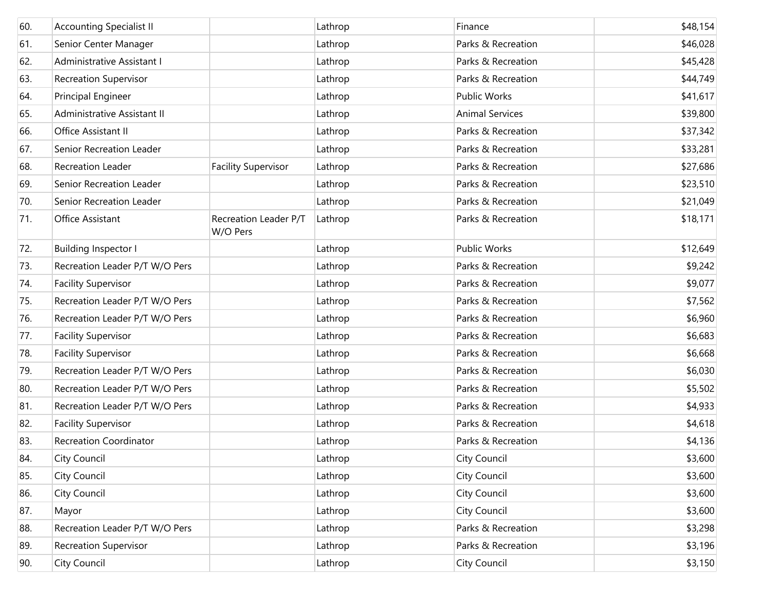| 60. | <b>Accounting Specialist II</b> |                                   | Lathrop | Finance                | \$48,154 |
|-----|---------------------------------|-----------------------------------|---------|------------------------|----------|
| 61. | Senior Center Manager           |                                   | Lathrop | Parks & Recreation     | \$46,028 |
| 62. | Administrative Assistant I      |                                   | Lathrop | Parks & Recreation     | \$45,428 |
| 63. | <b>Recreation Supervisor</b>    |                                   | Lathrop | Parks & Recreation     | \$44,749 |
| 64. | Principal Engineer              |                                   | Lathrop | <b>Public Works</b>    | \$41,617 |
| 65. | Administrative Assistant II     |                                   | Lathrop | <b>Animal Services</b> | \$39,800 |
| 66. | Office Assistant II             |                                   | Lathrop | Parks & Recreation     | \$37,342 |
| 67. | Senior Recreation Leader        |                                   | Lathrop | Parks & Recreation     | \$33,281 |
| 68. | <b>Recreation Leader</b>        | <b>Facility Supervisor</b>        | Lathrop | Parks & Recreation     | \$27,686 |
| 69. | Senior Recreation Leader        |                                   | Lathrop | Parks & Recreation     | \$23,510 |
| 70. | Senior Recreation Leader        |                                   | Lathrop | Parks & Recreation     | \$21,049 |
| 71. | Office Assistant                | Recreation Leader P/T<br>W/O Pers | Lathrop | Parks & Recreation     | \$18,171 |
| 72. | <b>Building Inspector I</b>     |                                   | Lathrop | <b>Public Works</b>    | \$12,649 |
| 73. | Recreation Leader P/T W/O Pers  |                                   | Lathrop | Parks & Recreation     | \$9,242  |
| 74. | <b>Facility Supervisor</b>      |                                   | Lathrop | Parks & Recreation     | \$9,077  |
| 75. | Recreation Leader P/T W/O Pers  |                                   | Lathrop | Parks & Recreation     | \$7,562  |
| 76. | Recreation Leader P/T W/O Pers  |                                   | Lathrop | Parks & Recreation     | \$6,960  |
| 77. | <b>Facility Supervisor</b>      |                                   | Lathrop | Parks & Recreation     | \$6,683  |
| 78. | <b>Facility Supervisor</b>      |                                   | Lathrop | Parks & Recreation     | \$6,668  |
| 79. | Recreation Leader P/T W/O Pers  |                                   | Lathrop | Parks & Recreation     | \$6,030  |
| 80. | Recreation Leader P/T W/O Pers  |                                   | Lathrop | Parks & Recreation     | \$5,502  |
| 81. | Recreation Leader P/T W/O Pers  |                                   | Lathrop | Parks & Recreation     | \$4,933  |
| 82. | <b>Facility Supervisor</b>      |                                   | Lathrop | Parks & Recreation     | \$4,618  |
| 83. | <b>Recreation Coordinator</b>   |                                   | Lathrop | Parks & Recreation     | \$4,136  |
| 84. | City Council                    |                                   | Lathrop | City Council           | \$3,600  |
| 85. | City Council                    |                                   | Lathrop | City Council           | \$3,600  |
| 86. | City Council                    |                                   | Lathrop | City Council           | \$3,600  |
| 87. | Mayor                           |                                   | Lathrop | <b>City Council</b>    | \$3,600  |
| 88. | Recreation Leader P/T W/O Pers  |                                   | Lathrop | Parks & Recreation     | \$3,298  |
| 89. | <b>Recreation Supervisor</b>    |                                   | Lathrop | Parks & Recreation     | \$3,196  |
| 90. | City Council                    |                                   | Lathrop | City Council           | \$3,150  |